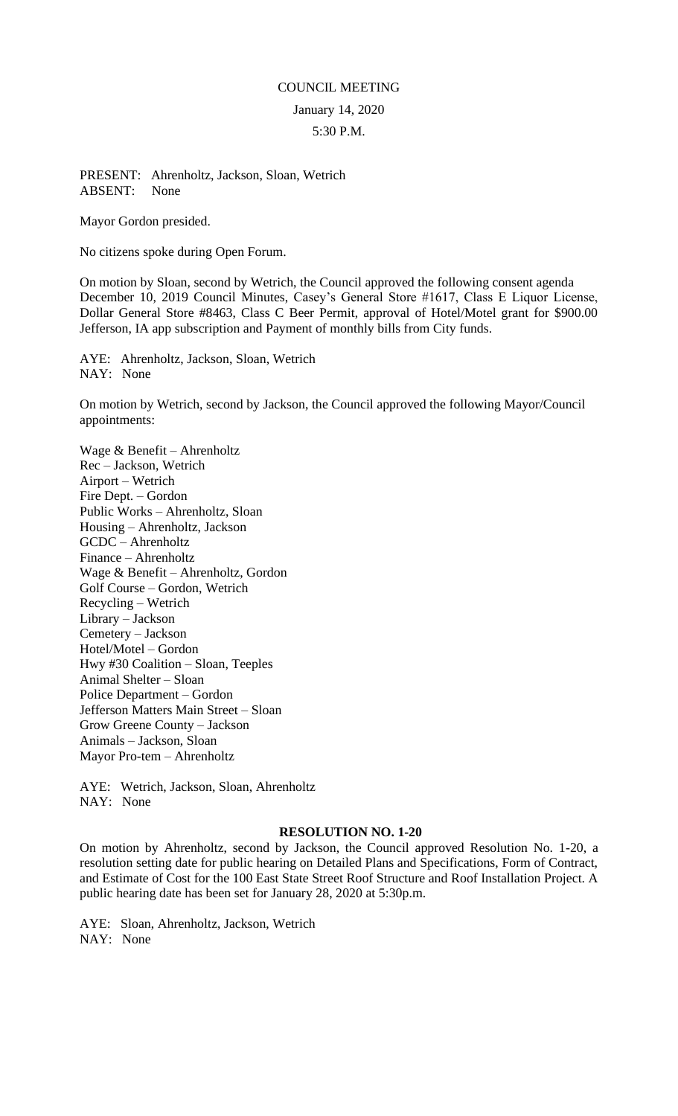## COUNCIL MEETING January 14, 2020 5:30 P.M.

## PRESENT: Ahrenholtz, Jackson, Sloan, Wetrich ABSENT: None

Mayor Gordon presided.

No citizens spoke during Open Forum.

On motion by Sloan, second by Wetrich, the Council approved the following consent agenda December 10, 2019 Council Minutes, Casey's General Store #1617, Class E Liquor License, Dollar General Store #8463, Class C Beer Permit, approval of Hotel/Motel grant for \$900.00 Jefferson, IA app subscription and Payment of monthly bills from City funds.

AYE: Ahrenholtz, Jackson, Sloan, Wetrich NAY: None

On motion by Wetrich, second by Jackson, the Council approved the following Mayor/Council appointments:

Wage & Benefit – Ahrenholtz Rec – Jackson, Wetrich Airport – Wetrich Fire Dept. – Gordon Public Works – Ahrenholtz, Sloan Housing – Ahrenholtz, Jackson GCDC – Ahrenholtz Finance – Ahrenholtz Wage & Benefit – Ahrenholtz, Gordon Golf Course – Gordon, Wetrich Recycling – Wetrich Library – Jackson Cemetery – Jackson Hotel/Motel – Gordon Hwy #30 Coalition – Sloan, Teeples Animal Shelter – Sloan Police Department – Gordon Jefferson Matters Main Street – Sloan Grow Greene County – Jackson Animals – Jackson, Sloan Mayor Pro-tem – Ahrenholtz

AYE: Wetrich, Jackson, Sloan, Ahrenholtz NAY: None

## **RESOLUTION NO. 1-20**

On motion by Ahrenholtz, second by Jackson, the Council approved Resolution No. 1-20, a resolution setting date for public hearing on Detailed Plans and Specifications, Form of Contract, and Estimate of Cost for the 100 East State Street Roof Structure and Roof Installation Project. A public hearing date has been set for January 28, 2020 at 5:30p.m.

AYE: Sloan, Ahrenholtz, Jackson, Wetrich NAY: None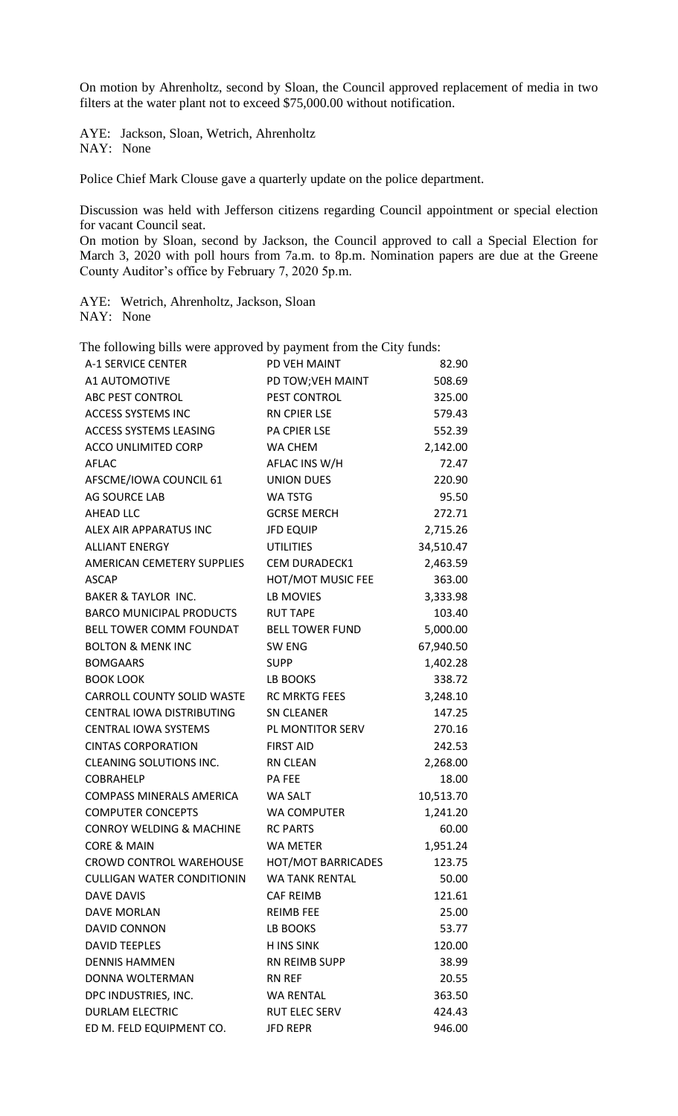On motion by Ahrenholtz, second by Sloan, the Council approved replacement of media in two filters at the water plant not to exceed \$75,000.00 without notification.

AYE: Jackson, Sloan, Wetrich, Ahrenholtz NAY: None

Police Chief Mark Clouse gave a quarterly update on the police department.

Discussion was held with Jefferson citizens regarding Council appointment or special election for vacant Council seat.

On motion by Sloan, second by Jackson, the Council approved to call a Special Election for March 3, 2020 with poll hours from 7a.m. to 8p.m. Nomination papers are due at the Greene County Auditor's office by February 7, 2020 5p.m.

AYE: Wetrich, Ahrenholtz, Jackson, Sloan NAY: None

The following bills were approved by payment from the City funds:

| A-1 SERVICE CENTER                  | PD VEH MAINT              | 82.90     |
|-------------------------------------|---------------------------|-----------|
| A1 AUTOMOTIVE                       | PD TOW; VEH MAINT         | 508.69    |
| ABC PEST CONTROL                    | PEST CONTROL              | 325.00    |
| <b>ACCESS SYSTEMS INC</b>           | RN CPIER LSE              | 579.43    |
| ACCESS SYSTEMS LEASING              | PA CPIER LSE              | 552.39    |
| ACCO UNLIMITED CORP                 | WA CHEM                   | 2,142.00  |
| AFLAC                               | AFLAC INS W/H             | 72.47     |
| AFSCME/IOWA COUNCIL 61              | <b>UNION DUES</b>         | 220.90    |
| AG SOURCE LAB                       | <b>WA TSTG</b>            | 95.50     |
| AHEAD LLC                           | <b>GCRSE MERCH</b>        | 272.71    |
| ALEX AIR APPARATUS INC              | <b>JFD EQUIP</b>          | 2,715.26  |
| <b>ALLIANT ENERGY</b>               | <b>UTILITIES</b>          | 34,510.47 |
| AMERICAN CEMETERY SUPPLIES          | <b>CEM DURADECK1</b>      | 2,463.59  |
| <b>ASCAP</b>                        | HOT/MOT MUSIC FEE         | 363.00    |
| <b>BAKER &amp; TAYLOR INC.</b>      | LB MOVIES                 | 3,333.98  |
| BARCO MUNICIPAL PRODUCTS            | <b>RUT TAPE</b>           | 103.40    |
| BELL TOWER COMM FOUNDAT             | <b>BELL TOWER FUND</b>    | 5,000.00  |
| <b>BOLTON &amp; MENK INC</b>        | <b>SW ENG</b>             | 67,940.50 |
| <b>BOMGAARS</b>                     | <b>SUPP</b>               | 1,402.28  |
| <b>BOOK LOOK</b>                    | LB BOOKS                  | 338.72    |
| CARROLL COUNTY SOLID WASTE          | <b>RC MRKTG FEES</b>      | 3,248.10  |
| CENTRAL IOWA DISTRIBUTING           | <b>SN CLEANER</b>         | 147.25    |
| CENTRAL IOWA SYSTEMS                | PL MONTITOR SERV          | 270.16    |
| <b>CINTAS CORPORATION</b>           | <b>FIRST AID</b>          | 242.53    |
| <b>CLEANING SOLUTIONS INC.</b>      | RN CLEAN                  | 2,268.00  |
| <b>COBRAHELP</b>                    | PA FEE                    | 18.00     |
| COMPASS MINERALS AMERICA            | WA SALT                   | 10,513.70 |
| <b>COMPUTER CONCEPTS</b>            | <b>WA COMPUTER</b>        | 1,241.20  |
| <b>CONROY WELDING &amp; MACHINE</b> | <b>RC PARTS</b>           | 60.00     |
| <b>CORE &amp; MAIN</b>              | WA METER                  | 1,951.24  |
| CROWD CONTROL WAREHOUSE             | <b>HOT/MOT BARRICADES</b> | 123.75    |
| <b>CULLIGAN WATER CONDITIONIN</b>   | <b>WA TANK RENTAL</b>     | 50.00     |
| <b>DAVE DAVIS</b>                   | <b>CAF REIMB</b>          | 121.61    |
| DAVE MORLAN                         | <b>REIMB FEE</b>          | 25.00     |
| <b>DAVID CONNON</b>                 | LB BOOKS                  | 53.77     |
| <b>DAVID TEEPLES</b>                | <b>H INS SINK</b>         | 120.00    |
| <b>DENNIS HAMMEN</b>                | <b>RN REIMB SUPP</b>      | 38.99     |
| DONNA WOLTERMAN                     | RN REF                    | 20.55     |
| DPC INDUSTRIES, INC.                | <b>WA RENTAL</b>          | 363.50    |
| <b>DURLAM ELECTRIC</b>              | <b>RUT ELEC SERV</b>      | 424.43    |
| ED M. FELD EQUIPMENT CO.            | <b>JFD REPR</b>           | 946.00    |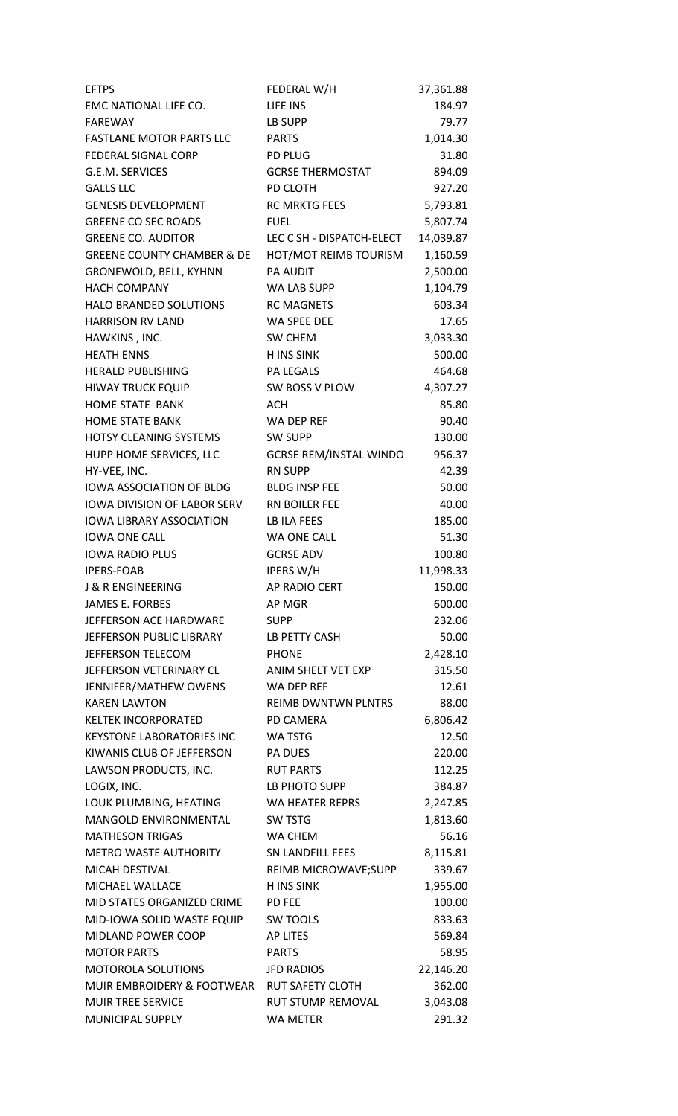| <b>EFTPS</b>                                 | FEDERAL W/H                          | 37,361.88          |
|----------------------------------------------|--------------------------------------|--------------------|
| EMC NATIONAL LIFE CO.                        | LIFE INS                             | 184.97             |
| <b>FAREWAY</b>                               | LB SUPP                              | 79.77              |
| <b>FASTLANE MOTOR PARTS LLC</b>              | <b>PARTS</b>                         | 1,014.30           |
| FEDERAL SIGNAL CORP                          | <b>PD PLUG</b>                       | 31.80              |
| G.E.M. SERVICES                              | <b>GCRSE THERMOSTAT</b>              | 894.09             |
| <b>GALLS LLC</b>                             | PD CLOTH                             | 927.20             |
| <b>GENESIS DEVELOPMENT</b>                   | <b>RC MRKTG FEES</b>                 | 5,793.81           |
| <b>GREENE CO SEC ROADS</b>                   | <b>FUEL</b>                          | 5,807.74           |
| <b>GREENE CO. AUDITOR</b>                    | LEC C SH - DISPATCH-ELECT            | 14,039.87          |
| <b>GREENE COUNTY CHAMBER &amp; DE</b>        | HOT/MOT REIMB TOURISM                | 1,160.59           |
| GRONEWOLD, BELL, KYHNN                       | <b>PA AUDIT</b>                      | 2,500.00           |
| <b>HACH COMPANY</b>                          | WA LAB SUPP                          | 1,104.79           |
| HALO BRANDED SOLUTIONS                       | <b>RC MAGNETS</b>                    | 603.34             |
| <b>HARRISON RV LAND</b>                      | <b>WA SPEE DEE</b>                   | 17.65              |
| HAWKINS, INC.                                | SW CHEM                              | 3,033.30           |
| <b>HEATH ENNS</b>                            | <b>H INS SINK</b>                    | 500.00             |
| <b>HERALD PUBLISHING</b>                     | <b>PA LEGALS</b>                     | 464.68             |
| <b>HIWAY TRUCK EQUIP</b>                     | SW BOSS V PLOW                       | 4,307.27           |
| HOME STATE BANK                              | <b>ACH</b>                           | 85.80              |
| <b>HOME STATE BANK</b>                       | WA DEP REF                           | 90.40              |
| <b>HOTSY CLEANING SYSTEMS</b>                | <b>SW SUPP</b>                       | 130.00             |
| HUPP HOME SERVICES, LLC                      | <b>GCRSE REM/INSTAL WINDO</b>        | 956.37             |
| HY-VEE, INC.                                 | <b>RN SUPP</b>                       | 42.39              |
| <b>IOWA ASSOCIATION OF BLDG</b>              | <b>BLDG INSP FEE</b>                 | 50.00              |
| IOWA DIVISION OF LABOR SERV                  | RN BOILER FEE                        | 40.00              |
| <b>IOWA LIBRARY ASSOCIATION</b>              | <b>LB ILA FEES</b>                   | 185.00             |
| <b>IOWA ONE CALL</b>                         | <b>WA ONE CALL</b>                   | 51.30              |
| <b>IOWA RADIO PLUS</b>                       | <b>GCRSE ADV</b>                     | 100.80             |
| <b>IPERS-FOAB</b>                            | <b>IPERS W/H</b>                     | 11,998.33          |
| <b>J &amp; R ENGINEERING</b>                 | AP RADIO CERT                        | 150.00             |
| <b>JAMES E. FORBES</b>                       | AP MGR                               | 600.00             |
| JEFFERSON ACE HARDWARE                       | <b>SUPP</b>                          | 232.06             |
| JEFFERSON PUBLIC LIBRARY                     | LB PETTY CASH                        | 50.00              |
| JEFFERSON TELECOM                            | <b>PHONE</b>                         | 2,428.10           |
| JEFFERSON VETERINARY CL                      | ANIM SHELT VET EXP                   | 315.50             |
| JENNIFER/MATHEW OWENS                        | WA DEP REF                           | 12.61              |
| <b>KAREN LAWTON</b>                          | <b>REIMB DWNTWN PLNTRS</b>           | 88.00              |
| <b>KELTEK INCORPORATED</b>                   | PD CAMERA                            | 6,806.42           |
| <b>KEYSTONE LABORATORIES INC</b>             | <b>WA TSTG</b>                       | 12.50              |
| KIWANIS CLUB OF JEFFERSON                    | <b>PA DUES</b>                       | 220.00             |
| LAWSON PRODUCTS, INC.                        | <b>RUT PARTS</b>                     | 112.25             |
| LOGIX, INC.                                  | LB PHOTO SUPP                        | 384.87             |
| LOUK PLUMBING, HEATING                       | WA HEATER REPRS                      | 2,247.85           |
| MANGOLD ENVIRONMENTAL                        | SW TSTG                              | 1,813.60           |
| <b>MATHESON TRIGAS</b>                       | WA CHEM                              | 56.16              |
| METRO WASTE AUTHORITY                        | <b>SN LANDFILL FEES</b>              | 8,115.81           |
| MICAH DESTIVAL                               | REIMB MICROWAVE;SUPP                 | 339.67             |
| MICHAEL WALLACE                              | <b>H INS SINK</b>                    | 1,955.00           |
| MID STATES ORGANIZED CRIME                   | PD FEE                               | 100.00             |
| MID-IOWA SOLID WASTE EQUIP                   | <b>SW TOOLS</b>                      | 833.63             |
| MIDLAND POWER COOP                           | <b>AP LITES</b>                      | 569.84             |
| <b>MOTOR PARTS</b>                           | <b>PARTS</b>                         | 58.95              |
| <b>MOTOROLA SOLUTIONS</b>                    | <b>JFD RADIOS</b>                    | 22,146.20          |
| MUIR EMBROIDERY & FOOTWEAR RUT SAFETY CLOTH  |                                      | 362.00             |
| <b>MUIR TREE SERVICE</b><br>MUNICIPAL SUPPLY | RUT STUMP REMOVAL<br><b>WA METER</b> | 3,043.08<br>291.32 |
|                                              |                                      |                    |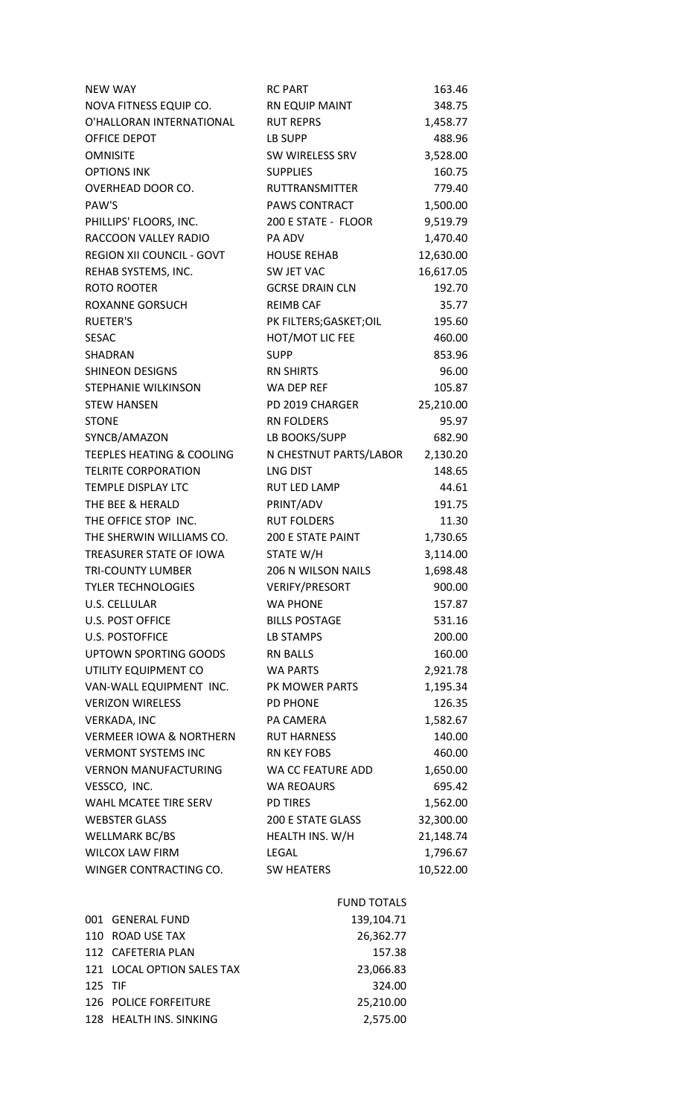| <b>NEW WAY</b>                       | <b>RC PART</b>          | 163.46    |
|--------------------------------------|-------------------------|-----------|
| NOVA FITNESS EQUIP CO.               | RN EQUIP MAINT          | 348.75    |
| O'HALLORAN INTERNATIONAL             | <b>RUT REPRS</b>        | 1,458.77  |
| OFFICE DEPOT                         | LB SUPP                 | 488.96    |
| <b>OMNISITE</b>                      | SW WIRELESS SRV         | 3,528.00  |
| <b>OPTIONS INK</b>                   | <b>SUPPLIES</b>         | 160.75    |
| OVERHEAD DOOR CO.                    | <b>RUTTRANSMITTER</b>   | 779.40    |
| PAW'S                                | PAWS CONTRACT           | 1,500.00  |
| PHILLIPS' FLOORS, INC.               | 200 E STATE - FLOOR     | 9,519.79  |
| RACCOON VALLEY RADIO                 | PA ADV                  | 1,470.40  |
| <b>REGION XII COUNCIL - GOVT</b>     | <b>HOUSE REHAB</b>      | 12,630.00 |
| REHAB SYSTEMS, INC.                  | SW JET VAC              | 16,617.05 |
| ROTO ROOTER                          | <b>GCRSE DRAIN CLN</b>  | 192.70    |
| ROXANNE GORSUCH                      | <b>REIMB CAF</b>        | 35.77     |
| <b>RUETER'S</b>                      | PK FILTERS; GASKET; OIL | 195.60    |
| <b>SESAC</b>                         | HOT/MOT LIC FEE         | 460.00    |
| SHADRAN                              | <b>SUPP</b>             | 853.96    |
| <b>SHINEON DESIGNS</b>               | <b>RN SHIRTS</b>        | 96.00     |
| STEPHANIE WILKINSON                  | WA DEP REF              | 105.87    |
| <b>STEW HANSEN</b>                   | PD 2019 CHARGER         | 25,210.00 |
| <b>STONE</b>                         | <b>RN FOLDERS</b>       | 95.97     |
| SYNCB/AMAZON                         | LB BOOKS/SUPP           | 682.90    |
| <b>TEEPLES HEATING &amp; COOLING</b> | N CHESTNUT PARTS/LABOR  | 2,130.20  |
| <b>TELRITE CORPORATION</b>           | <b>LNG DIST</b>         | 148.65    |
| TEMPLE DISPLAY LTC                   | <b>RUT LED LAMP</b>     | 44.61     |
| THE BEE & HERALD                     | PRINT/ADV               | 191.75    |
| THE OFFICE STOP INC.                 | <b>RUT FOLDERS</b>      | 11.30     |
| THE SHERWIN WILLIAMS CO.             | 200 E STATE PAINT       | 1,730.65  |
| TREASURER STATE OF IOWA              | STATE W/H               | 3,114.00  |
| <b>TRI-COUNTY LUMBER</b>             | 206 N WILSON NAILS      | 1,698.48  |
| <b>TYLER TECHNOLOGIES</b>            | <b>VERIFY/PRESORT</b>   | 900.00    |
| <b>U.S. CELLULAR</b>                 | <b>WA PHONE</b>         | 157.87    |
| <b>U.S. POST OFFICE</b>              | <b>BILLS POSTAGE</b>    | 531.16    |
| <b>U.S. POSTOFFICE</b>               | LB STAMPS               | 200.00    |
| UPTOWN SPORTING GOODS                | RN BALLS                | 160.00    |
| UTILITY EQUIPMENT CO                 | <b>WA PARTS</b>         | 2,921.78  |
| VAN-WALL EQUIPMENT INC.              | PK MOWER PARTS          | 1,195.34  |
| <b>VERIZON WIRELESS</b>              | <b>PD PHONE</b>         | 126.35    |
| VERKADA, INC                         | PA CAMERA               | 1,582.67  |
| <b>VERMEER IOWA &amp; NORTHERN</b>   | <b>RUT HARNESS</b>      | 140.00    |
| <b>VERMONT SYSTEMS INC</b>           | RN KEY FOBS             | 460.00    |
| <b>VERNON MANUFACTURING</b>          | WA CC FEATURE ADD       | 1,650.00  |
| VESSCO, INC.                         | <b>WA REOAURS</b>       | 695.42    |
| WAHL MCATEE TIRE SERV                | <b>PD TIRES</b>         | 1,562.00  |
| <b>WEBSTER GLASS</b>                 | 200 E STATE GLASS       | 32,300.00 |
| WELLMARK BC/BS                       | HEALTH INS. W/H         | 21,148.74 |
| <b>WILCOX LAW FIRM</b>               | LEGAL                   | 1,796.67  |
| WINGER CONTRACTING CO.               | <b>SW HEATERS</b>       | 10,522.00 |
|                                      | <b>FUND TOTALS</b>      |           |
| 001 GENERAL FUND                     | 139,104.71              |           |
|                                      |                         |           |

|         | 001 GENERAL FUND             | 139,104.71 |
|---------|------------------------------|------------|
|         | 110 ROAD USE TAX             | 26,362.77  |
|         | 112 CAFETERIA PLAN           | 157.38     |
|         | 121 LOCAL OPTION SALES TAX   | 23,066.83  |
| 125 TIF |                              | 324.00     |
|         | <b>126 POLICE FORFEITURE</b> | 25.210.00  |
|         | 128 HEALTH INS. SINKING      | 2,575.00   |
|         |                              |            |